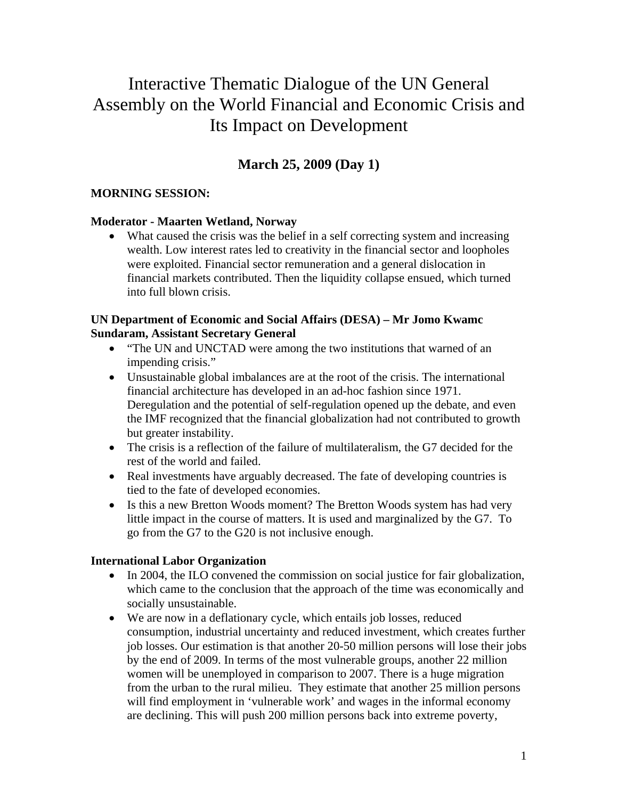# Interactive Thematic Dialogue of the UN General Assembly on the World Financial and Economic Crisis and Its Impact on Development

# **March 25, 2009 (Day 1)**

# **MORNING SESSION:**

### **Moderator - Maarten Wetland, Norway**

• What caused the crisis was the belief in a self correcting system and increasing wealth. Low interest rates led to creativity in the financial sector and loopholes were exploited. Financial sector remuneration and a general dislocation in financial markets contributed. Then the liquidity collapse ensued, which turned into full blown crisis.

### **UN Department of Economic and Social Affairs (DESA) – Mr Jomo Kwamc Sundaram, Assistant Secretary General**

- "The UN and UNCTAD were among the two institutions that warned of an impending crisis."
- Unsustainable global imbalances are at the root of the crisis. The international financial architecture has developed in an ad-hoc fashion since 1971. Deregulation and the potential of self-regulation opened up the debate, and even the IMF recognized that the financial globalization had not contributed to growth but greater instability.
- The crisis is a reflection of the failure of multilateralism, the G7 decided for the rest of the world and failed.
- Real investments have arguably decreased. The fate of developing countries is tied to the fate of developed economies.
- Is this a new Bretton Woods moment? The Bretton Woods system has had very little impact in the course of matters. It is used and marginalized by the G7. To go from the G7 to the G20 is not inclusive enough.

### **International Labor Organization**

- In 2004, the ILO convened the commission on social justice for fair globalization, which came to the conclusion that the approach of the time was economically and socially unsustainable.
- We are now in a deflationary cycle, which entails job losses, reduced consumption, industrial uncertainty and reduced investment, which creates further job losses. Our estimation is that another 20-50 million persons will lose their jobs by the end of 2009. In terms of the most vulnerable groups, another 22 million women will be unemployed in comparison to 2007. There is a huge migration from the urban to the rural milieu. They estimate that another 25 million persons will find employment in 'vulnerable work' and wages in the informal economy are declining. This will push 200 million persons back into extreme poverty,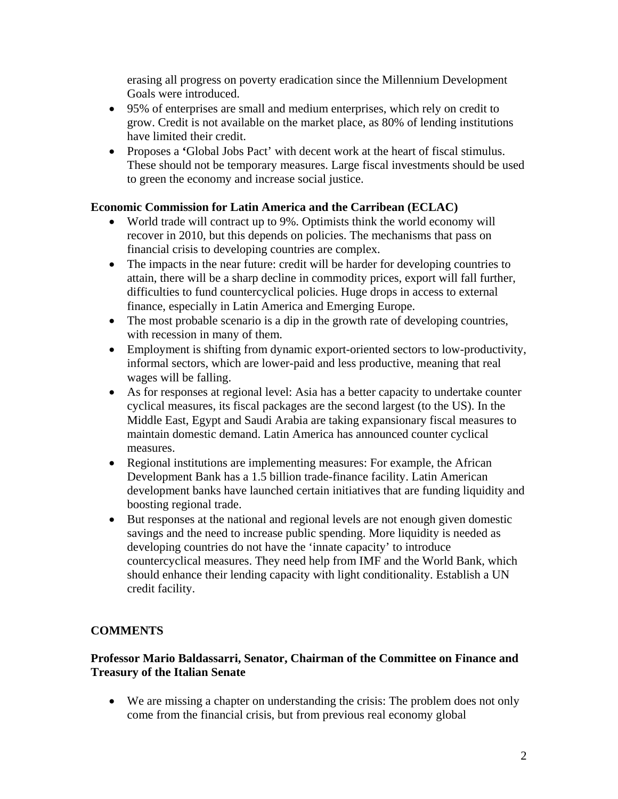erasing all progress on poverty eradication since the Millennium Development Goals were introduced.

- 95% of enterprises are small and medium enterprises, which rely on credit to grow. Credit is not available on the market place, as 80% of lending institutions have limited their credit.
- Proposes a **'**Global Jobs Pact' with decent work at the heart of fiscal stimulus. These should not be temporary measures. Large fiscal investments should be used to green the economy and increase social justice.

# **Economic Commission for Latin America and the Carribean (ECLAC)**

- World trade will contract up to 9%. Optimists think the world economy will recover in 2010, but this depends on policies. The mechanisms that pass on financial crisis to developing countries are complex.
- The impacts in the near future: credit will be harder for developing countries to attain, there will be a sharp decline in commodity prices, export will fall further, difficulties to fund countercyclical policies. Huge drops in access to external finance, especially in Latin America and Emerging Europe.
- The most probable scenario is a dip in the growth rate of developing countries, with recession in many of them.
- Employment is shifting from dynamic export-oriented sectors to low-productivity, informal sectors, which are lower-paid and less productive, meaning that real wages will be falling.
- As for responses at regional level: Asia has a better capacity to undertake counter cyclical measures, its fiscal packages are the second largest (to the US). In the Middle East, Egypt and Saudi Arabia are taking expansionary fiscal measures to maintain domestic demand. Latin America has announced counter cyclical measures.
- Regional institutions are implementing measures: For example, the African Development Bank has a 1.5 billion trade-finance facility. Latin American development banks have launched certain initiatives that are funding liquidity and boosting regional trade.
- But responses at the national and regional levels are not enough given domestic savings and the need to increase public spending. More liquidity is needed as developing countries do not have the 'innate capacity' to introduce countercyclical measures. They need help from IMF and the World Bank, which should enhance their lending capacity with light conditionality. Establish a UN credit facility.

# **COMMENTS**

### **Professor Mario Baldassarri, Senator, Chairman of the Committee on Finance and Treasury of the Italian Senate**

• We are missing a chapter on understanding the crisis: The problem does not only come from the financial crisis, but from previous real economy global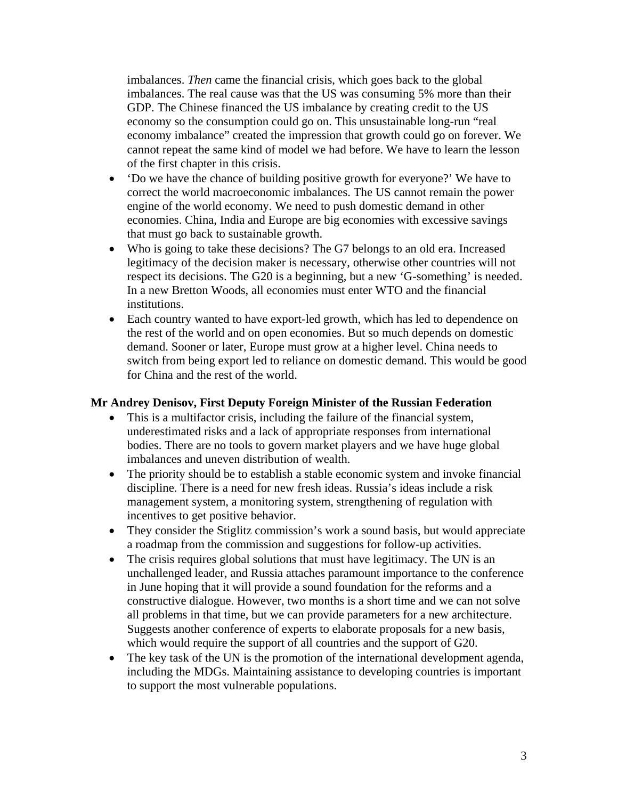imbalances. *Then* came the financial crisis, which goes back to the global imbalances. The real cause was that the US was consuming 5% more than their GDP. The Chinese financed the US imbalance by creating credit to the US economy so the consumption could go on. This unsustainable long-run "real economy imbalance" created the impression that growth could go on forever. We cannot repeat the same kind of model we had before. We have to learn the lesson of the first chapter in this crisis.

- 'Do we have the chance of building positive growth for everyone?' We have to correct the world macroeconomic imbalances. The US cannot remain the power engine of the world economy. We need to push domestic demand in other economies. China, India and Europe are big economies with excessive savings that must go back to sustainable growth.
- Who is going to take these decisions? The G7 belongs to an old era. Increased legitimacy of the decision maker is necessary, otherwise other countries will not respect its decisions. The G20 is a beginning, but a new 'G-something' is needed. In a new Bretton Woods, all economies must enter WTO and the financial institutions.
- Each country wanted to have export-led growth, which has led to dependence on the rest of the world and on open economies. But so much depends on domestic demand. Sooner or later, Europe must grow at a higher level. China needs to switch from being export led to reliance on domestic demand. This would be good for China and the rest of the world.

#### **Mr Andrey Denisov, First Deputy Foreign Minister of the Russian Federation**

- This is a multifactor crisis, including the failure of the financial system, underestimated risks and a lack of appropriate responses from international bodies. There are no tools to govern market players and we have huge global imbalances and uneven distribution of wealth.
- The priority should be to establish a stable economic system and invoke financial discipline. There is a need for new fresh ideas. Russia's ideas include a risk management system, a monitoring system, strengthening of regulation with incentives to get positive behavior.
- They consider the Stiglitz commission's work a sound basis, but would appreciate a roadmap from the commission and suggestions for follow-up activities.
- The crisis requires global solutions that must have legitimacy. The UN is an unchallenged leader, and Russia attaches paramount importance to the conference in June hoping that it will provide a sound foundation for the reforms and a constructive dialogue. However, two months is a short time and we can not solve all problems in that time, but we can provide parameters for a new architecture. Suggests another conference of experts to elaborate proposals for a new basis, which would require the support of all countries and the support of G20.
- The key task of the UN is the promotion of the international development agenda, including the MDGs. Maintaining assistance to developing countries is important to support the most vulnerable populations.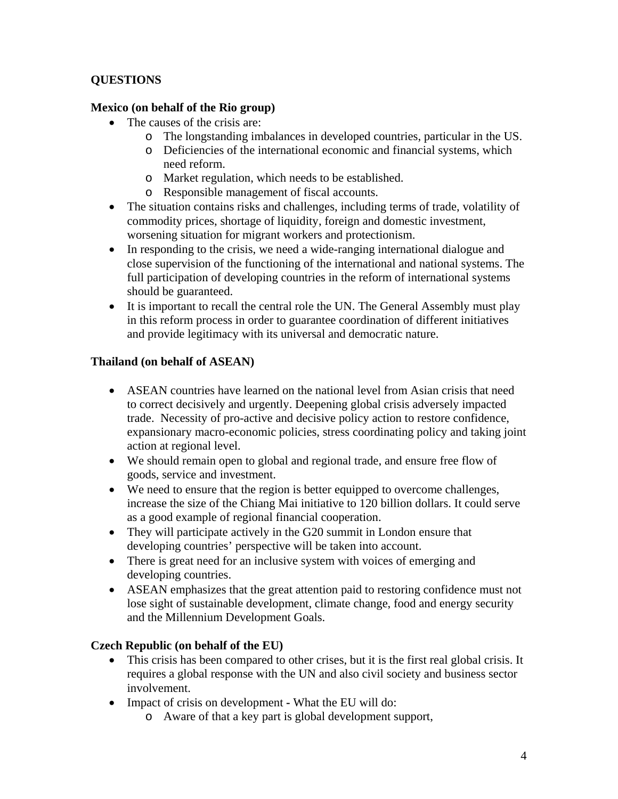# **QUESTIONS**

### **Mexico (on behalf of the Rio group)**

- The causes of the crisis are:
	- o The longstanding imbalances in developed countries, particular in the US.
	- o Deficiencies of the international economic and financial systems, which need reform.
	- o Market regulation, which needs to be established.
	- o Responsible management of fiscal accounts.
- The situation contains risks and challenges, including terms of trade, volatility of commodity prices, shortage of liquidity, foreign and domestic investment, worsening situation for migrant workers and protectionism.
- In responding to the crisis, we need a wide-ranging international dialogue and close supervision of the functioning of the international and national systems. The full participation of developing countries in the reform of international systems should be guaranteed.
- It is important to recall the central role the UN. The General Assembly must play in this reform process in order to guarantee coordination of different initiatives and provide legitimacy with its universal and democratic nature.

# **Thailand (on behalf of ASEAN)**

- ASEAN countries have learned on the national level from Asian crisis that need to correct decisively and urgently. Deepening global crisis adversely impacted trade. Necessity of pro-active and decisive policy action to restore confidence, expansionary macro-economic policies, stress coordinating policy and taking joint action at regional level.
- We should remain open to global and regional trade, and ensure free flow of goods, service and investment.
- We need to ensure that the region is better equipped to overcome challenges, increase the size of the Chiang Mai initiative to 120 billion dollars. It could serve as a good example of regional financial cooperation.
- They will participate actively in the G20 summit in London ensure that developing countries' perspective will be taken into account.
- There is great need for an inclusive system with voices of emerging and developing countries.
- ASEAN emphasizes that the great attention paid to restoring confidence must not lose sight of sustainable development, climate change, food and energy security and the Millennium Development Goals.

### **Czech Republic (on behalf of the EU)**

- This crisis has been compared to other crises, but it is the first real global crisis. It requires a global response with the UN and also civil society and business sector involvement.
- Impact of crisis on development **-** What the EU will do:
	- o Aware of that a key part is global development support,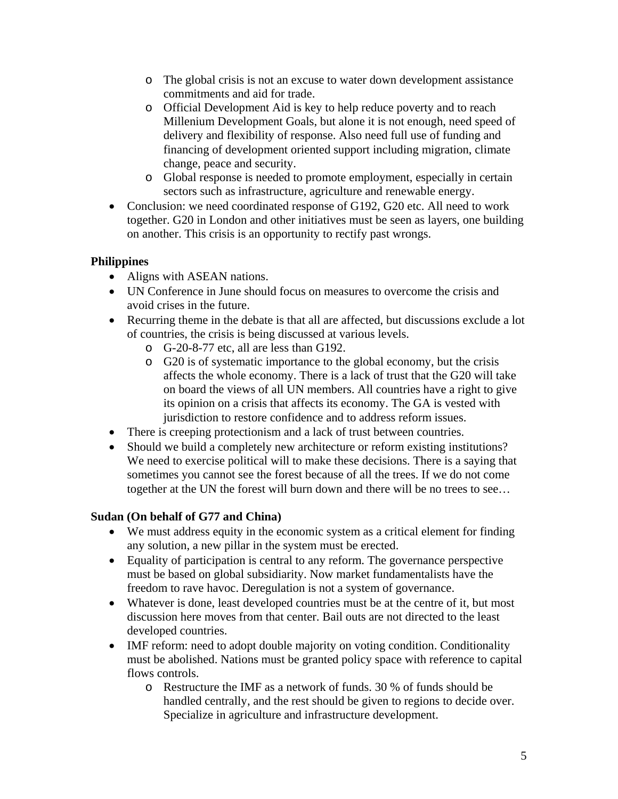- o The global crisis is not an excuse to water down development assistance commitments and aid for trade.
- o Official Development Aid is key to help reduce poverty and to reach Millenium Development Goals, but alone it is not enough, need speed of delivery and flexibility of response. Also need full use of funding and financing of development oriented support including migration, climate change, peace and security.
- o Global response is needed to promote employment, especially in certain sectors such as infrastructure, agriculture and renewable energy.
- Conclusion: we need coordinated response of G192, G20 etc. All need to work together. G20 in London and other initiatives must be seen as layers, one building on another. This crisis is an opportunity to rectify past wrongs.

### **Philippines**

- Aligns with ASEAN nations.
- UN Conference in June should focus on measures to overcome the crisis and avoid crises in the future.
- Recurring theme in the debate is that all are affected, but discussions exclude a lot of countries, the crisis is being discussed at various levels.
	- o G-20-8-77 etc, all are less than G192.
	- o G20 is of systematic importance to the global economy, but the crisis affects the whole economy. There is a lack of trust that the G20 will take on board the views of all UN members. All countries have a right to give its opinion on a crisis that affects its economy. The GA is vested with jurisdiction to restore confidence and to address reform issues.
- There is creeping protectionism and a lack of trust between countries.
- Should we build a completely new architecture or reform existing institutions? We need to exercise political will to make these decisions. There is a saying that sometimes you cannot see the forest because of all the trees. If we do not come together at the UN the forest will burn down and there will be no trees to see…

# **Sudan (On behalf of G77 and China)**

- We must address equity in the economic system as a critical element for finding any solution, a new pillar in the system must be erected.
- Equality of participation is central to any reform. The governance perspective must be based on global subsidiarity. Now market fundamentalists have the freedom to rave havoc. Deregulation is not a system of governance.
- Whatever is done, least developed countries must be at the centre of it, but most discussion here moves from that center. Bail outs are not directed to the least developed countries.
- IMF reform: need to adopt double majority on voting condition. Conditionality must be abolished. Nations must be granted policy space with reference to capital flows controls.
	- o Restructure the IMF as a network of funds. 30 % of funds should be handled centrally, and the rest should be given to regions to decide over. Specialize in agriculture and infrastructure development.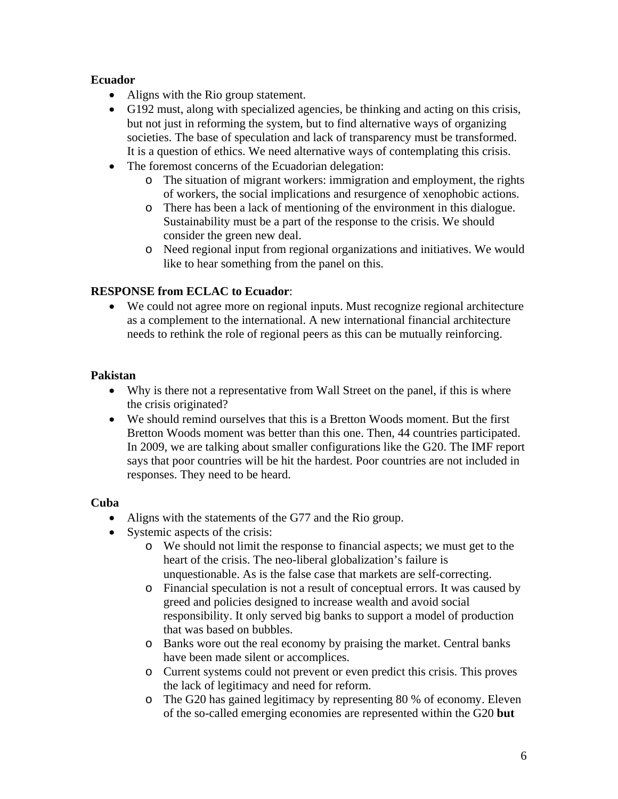### **Ecuador**

- Aligns with the Rio group statement.
- G192 must, along with specialized agencies, be thinking and acting on this crisis, but not just in reforming the system, but to find alternative ways of organizing societies. The base of speculation and lack of transparency must be transformed. It is a question of ethics. We need alternative ways of contemplating this crisis.
- The foremost concerns of the Ecuadorian delegation:
	- o The situation of migrant workers: immigration and employment, the rights of workers, the social implications and resurgence of xenophobic actions.
	- o There has been a lack of mentioning of the environment in this dialogue. Sustainability must be a part of the response to the crisis. We should consider the green new deal.
	- o Need regional input from regional organizations and initiatives. We would like to hear something from the panel on this.

# **RESPONSE from ECLAC to Ecuador**:

• We could not agree more on regional inputs. Must recognize regional architecture as a complement to the international. A new international financial architecture needs to rethink the role of regional peers as this can be mutually reinforcing.

### **Pakistan**

- Why is there not a representative from Wall Street on the panel, if this is where the crisis originated?
- We should remind ourselves that this is a Bretton Woods moment. But the first Bretton Woods moment was better than this one. Then, 44 countries participated. In 2009, we are talking about smaller configurations like the G20. The IMF report says that poor countries will be hit the hardest. Poor countries are not included in responses. They need to be heard.

### **Cuba**

- Aligns with the statements of the G77 and the Rio group.
- Systemic aspects of the crisis:
	- o We should not limit the response to financial aspects; we must get to the heart of the crisis. The neo-liberal globalization's failure is unquestionable. As is the false case that markets are self-correcting.
	- o Financial speculation is not a result of conceptual errors. It was caused by greed and policies designed to increase wealth and avoid social responsibility. It only served big banks to support a model of production that was based on bubbles.
	- o Banks wore out the real economy by praising the market. Central banks have been made silent or accomplices.
	- o Current systems could not prevent or even predict this crisis. This proves the lack of legitimacy and need for reform.
	- o The G20 has gained legitimacy by representing 80 % of economy. Eleven of the so-called emerging economies are represented within the G20 **but**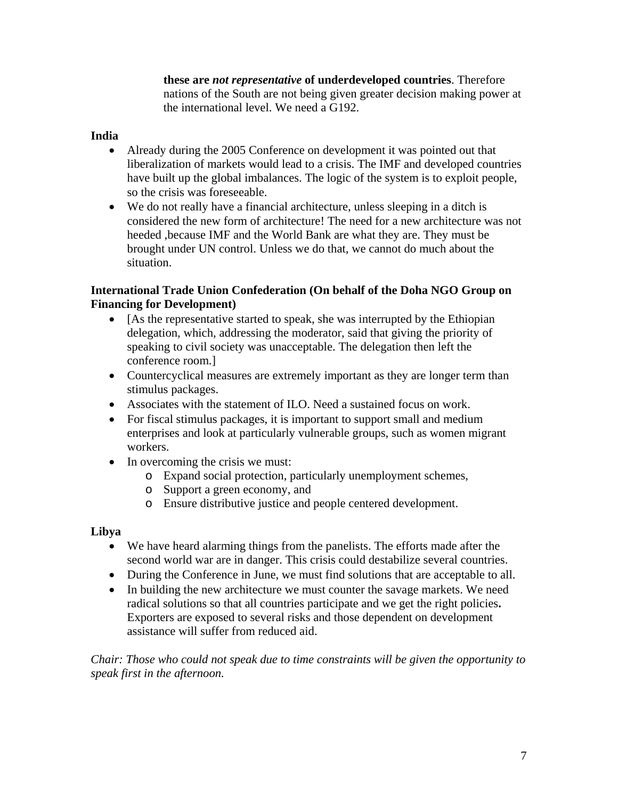**these are** *not representative* **of underdeveloped countries**. Therefore nations of the South are not being given greater decision making power at the international level. We need a G192.

### **India**

- Already during the 2005 Conference on development it was pointed out that liberalization of markets would lead to a crisis. The IMF and developed countries have built up the global imbalances. The logic of the system is to exploit people, so the crisis was foreseeable.
- We do not really have a financial architecture, unless sleeping in a ditch is considered the new form of architecture! The need for a new architecture was not heeded ,because IMF and the World Bank are what they are. They must be brought under UN control. Unless we do that, we cannot do much about the situation.

### **International Trade Union Confederation (On behalf of the Doha NGO Group on Financing for Development)**

- [As the representative started to speak, she was interrupted by the Ethiopian delegation, which, addressing the moderator, said that giving the priority of speaking to civil society was unacceptable. The delegation then left the conference room.]
- Countercyclical measures are extremely important as they are longer term than stimulus packages.
- Associates with the statement of ILO. Need a sustained focus on work.
- For fiscal stimulus packages, it is important to support small and medium enterprises and look at particularly vulnerable groups, such as women migrant workers.
- In overcoming the crisis we must:
	- o Expand social protection, particularly unemployment schemes,
	- o Support a green economy, and
	- o Ensure distributive justice and people centered development.

### **Libya**

- We have heard alarming things from the panelists. The efforts made after the second world war are in danger. This crisis could destabilize several countries.
- During the Conference in June, we must find solutions that are acceptable to all.
- In building the new architecture we must counter the savage markets. We need radical solutions so that all countries participate and we get the right policies**.** Exporters are exposed to several risks and those dependent on development assistance will suffer from reduced aid.

*Chair: Those who could not speak due to time constraints will be given the opportunity to speak first in the afternoon.*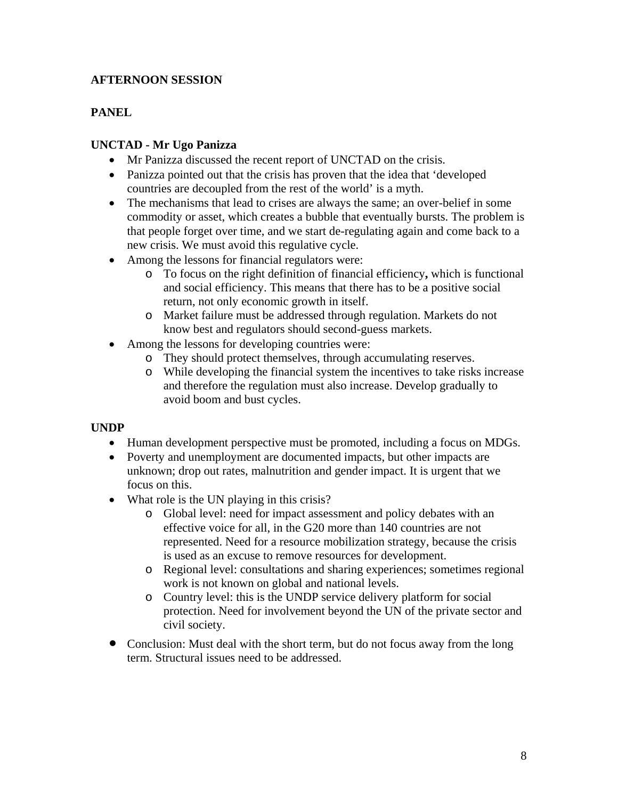# **AFTERNOON SESSION**

### **PANEL**

### **UNCTAD - Mr Ugo Panizza**

- Mr Panizza discussed the recent report of UNCTAD on the crisis.
- Panizza pointed out that the crisis has proven that the idea that 'developed countries are decoupled from the rest of the world' is a myth.
- The mechanisms that lead to crises are always the same; an over-belief in some commodity or asset, which creates a bubble that eventually bursts. The problem is that people forget over time, and we start de-regulating again and come back to a new crisis. We must avoid this regulative cycle.
- Among the lessons for financial regulators were:
	- o To focus on the right definition of financial efficiency**,** which is functional and social efficiency. This means that there has to be a positive social return, not only economic growth in itself.
	- o Market failure must be addressed through regulation. Markets do not know best and regulators should second-guess markets.
- Among the lessons for developing countries were:
	- o They should protect themselves, through accumulating reserves.
	- o While developing the financial system the incentives to take risks increase and therefore the regulation must also increase. Develop gradually to avoid boom and bust cycles.

### **UNDP**

- Human development perspective must be promoted, including a focus on MDGs.
- Poverty and unemployment are documented impacts, but other impacts are unknown; drop out rates, malnutrition and gender impact. It is urgent that we focus on this.
- What role is the UN playing in this crisis?
	- o Global level: need for impact assessment and policy debates with an effective voice for all, in the G20 more than 140 countries are not represented. Need for a resource mobilization strategy, because the crisis is used as an excuse to remove resources for development.
	- o Regional level: consultations and sharing experiences; sometimes regional work is not known on global and national levels.
	- o Country level: this is the UNDP service delivery platform for social protection. Need for involvement beyond the UN of the private sector and civil society.
- Conclusion: Must deal with the short term, but do not focus away from the long term. Structural issues need to be addressed.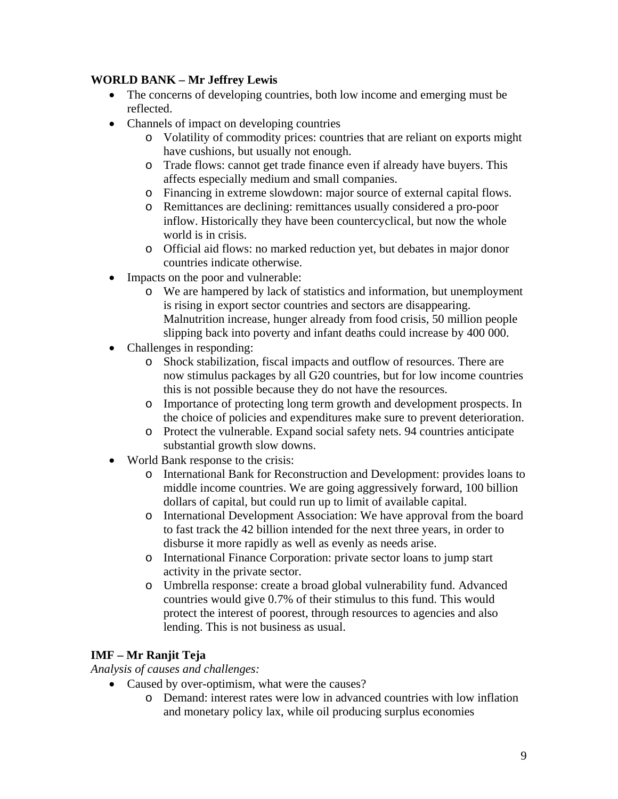# **WORLD BANK – Mr Jeffrey Lewis**

- The concerns of developing countries, both low income and emerging must be reflected.
- Channels of impact on developing countries
	- o Volatility of commodity prices: countries that are reliant on exports might have cushions, but usually not enough.
	- o Trade flows: cannot get trade finance even if already have buyers. This affects especially medium and small companies.
	- o Financing in extreme slowdown: major source of external capital flows.
	- o Remittances are declining: remittances usually considered a pro-poor inflow. Historically they have been countercyclical, but now the whole world is in crisis.
	- o Official aid flows: no marked reduction yet, but debates in major donor countries indicate otherwise.
- Impacts on the poor and vulnerable:
	- o We are hampered by lack of statistics and information, but unemployment is rising in export sector countries and sectors are disappearing. Malnutrition increase, hunger already from food crisis, 50 million people slipping back into poverty and infant deaths could increase by 400 000.
- Challenges in responding:
	- o Shock stabilization, fiscal impacts and outflow of resources. There are now stimulus packages by all G20 countries, but for low income countries this is not possible because they do not have the resources.
	- o Importance of protecting long term growth and development prospects. In the choice of policies and expenditures make sure to prevent deterioration.
	- o Protect the vulnerable. Expand social safety nets. 94 countries anticipate substantial growth slow downs.
- World Bank response to the crisis:
	- o International Bank for Reconstruction and Development: provides loans to middle income countries. We are going aggressively forward, 100 billion dollars of capital, but could run up to limit of available capital.
	- o International Development Association: We have approval from the board to fast track the 42 billion intended for the next three years, in order to disburse it more rapidly as well as evenly as needs arise.
	- o International Finance Corporation: private sector loans to jump start activity in the private sector.
	- o Umbrella response: create a broad global vulnerability fund. Advanced countries would give 0.7% of their stimulus to this fund. This would protect the interest of poorest, through resources to agencies and also lending. This is not business as usual.

# **IMF – Mr Ranjit Teja**

*Analysis of causes and challenges:* 

- Caused by over-optimism, what were the causes?
	- o Demand: interest rates were low in advanced countries with low inflation and monetary policy lax, while oil producing surplus economies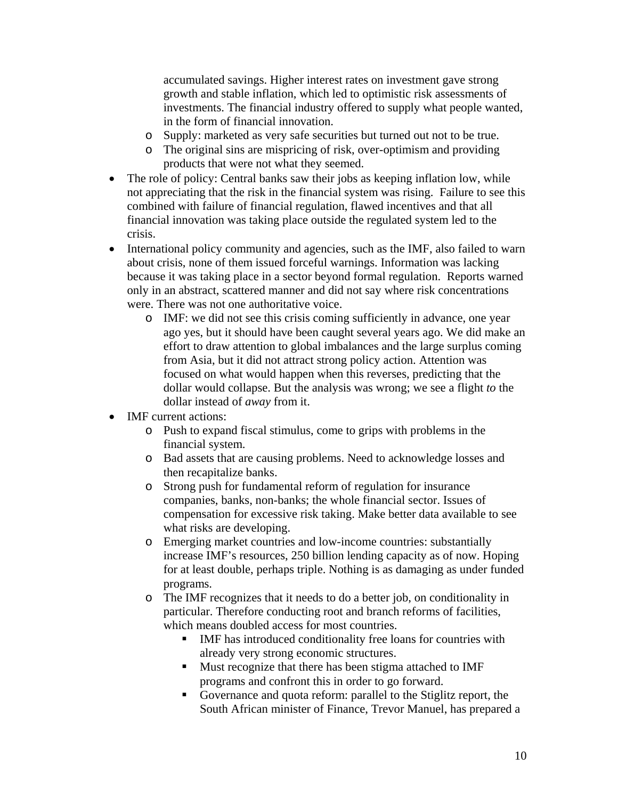accumulated savings. Higher interest rates on investment gave strong growth and stable inflation, which led to optimistic risk assessments of investments. The financial industry offered to supply what people wanted, in the form of financial innovation.

- o Supply: marketed as very safe securities but turned out not to be true.
- o The original sins are mispricing of risk, over-optimism and providing products that were not what they seemed.
- The role of policy: Central banks saw their jobs as keeping inflation low, while not appreciating that the risk in the financial system was rising. Failure to see this combined with failure of financial regulation, flawed incentives and that all financial innovation was taking place outside the regulated system led to the crisis.
- International policy community and agencies, such as the IMF, also failed to warn about crisis, none of them issued forceful warnings. Information was lacking because it was taking place in a sector beyond formal regulation. Reports warned only in an abstract, scattered manner and did not say where risk concentrations were. There was not one authoritative voice.
	- o IMF: we did not see this crisis coming sufficiently in advance, one year ago yes, but it should have been caught several years ago. We did make an effort to draw attention to global imbalances and the large surplus coming from Asia, but it did not attract strong policy action. Attention was focused on what would happen when this reverses, predicting that the dollar would collapse. But the analysis was wrong; we see a flight *to* the dollar instead of *away* from it.
- IMF current actions:
	- o Push to expand fiscal stimulus, come to grips with problems in the financial system.
	- o Bad assets that are causing problems. Need to acknowledge losses and then recapitalize banks.
	- o Strong push for fundamental reform of regulation for insurance companies, banks, non-banks; the whole financial sector. Issues of compensation for excessive risk taking. Make better data available to see what risks are developing.
	- o Emerging market countries and low-income countries: substantially increase IMF's resources, 250 billion lending capacity as of now. Hoping for at least double, perhaps triple. Nothing is as damaging as under funded programs.
	- o The IMF recognizes that it needs to do a better job, on conditionality in particular. Therefore conducting root and branch reforms of facilities, which means doubled access for most countries.
		- IMF has introduced conditionality free loans for countries with already very strong economic structures.
		- **Must recognize that there has been stigma attached to IMF** programs and confront this in order to go forward.
		- Governance and quota reform: parallel to the Stiglitz report, the South African minister of Finance, Trevor Manuel, has prepared a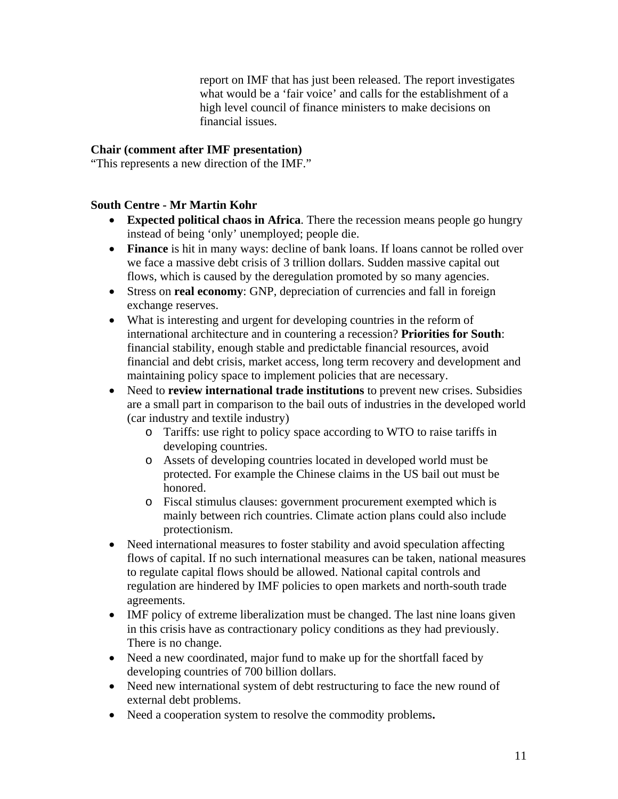report on IMF that has just been released. The report investigates what would be a 'fair voice' and calls for the establishment of a high level council of finance ministers to make decisions on financial issues.

### **Chair (comment after IMF presentation)**

"This represents a new direction of the IMF."

### **South Centre - Mr Martin Kohr**

- **Expected political chaos in Africa**. There the recession means people go hungry instead of being 'only' unemployed; people die.
- **Finance** is hit in many ways: decline of bank loans. If loans cannot be rolled over we face a massive debt crisis of 3 trillion dollars. Sudden massive capital out flows, which is caused by the deregulation promoted by so many agencies.
- Stress on **real economy**: GNP, depreciation of currencies and fall in foreign exchange reserves.
- What is interesting and urgent for developing countries in the reform of international architecture and in countering a recession? **Priorities for South**: financial stability, enough stable and predictable financial resources, avoid financial and debt crisis, market access, long term recovery and development and maintaining policy space to implement policies that are necessary.
- Need to **review international trade institutions** to prevent new crises. Subsidies are a small part in comparison to the bail outs of industries in the developed world (car industry and textile industry)
	- o Tariffs: use right to policy space according to WTO to raise tariffs in developing countries.
	- o Assets of developing countries located in developed world must be protected. For example the Chinese claims in the US bail out must be honored.
	- o Fiscal stimulus clauses: government procurement exempted which is mainly between rich countries. Climate action plans could also include protectionism.
- Need international measures to foster stability and avoid speculation affecting flows of capital. If no such international measures can be taken, national measures to regulate capital flows should be allowed. National capital controls and regulation are hindered by IMF policies to open markets and north-south trade agreements.
- IMF policy of extreme liberalization must be changed. The last nine loans given in this crisis have as contractionary policy conditions as they had previously. There is no change.
- Need a new coordinated, major fund to make up for the shortfall faced by developing countries of 700 billion dollars.
- Need new international system of debt restructuring to face the new round of external debt problems.
- Need a cooperation system to resolve the commodity problems**.**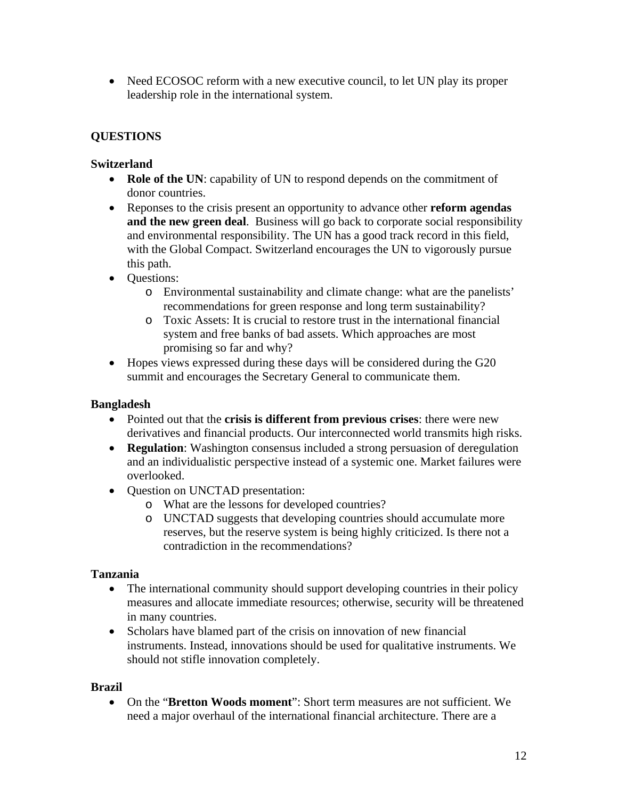• Need ECOSOC reform with a new executive council, to let UN play its proper leadership role in the international system.

# **QUESTIONS**

# **Switzerland**

- **Role of the UN**: capability of UN to respond depends on the commitment of donor countries.
- Reponses to the crisis present an opportunity to advance other **reform agendas and the new green deal**. Business will go back to corporate social responsibility and environmental responsibility. The UN has a good track record in this field, with the Global Compact. Switzerland encourages the UN to vigorously pursue this path.
- Questions:
	- o Environmental sustainability and climate change: what are the panelists' recommendations for green response and long term sustainability?
	- o Toxic Assets: It is crucial to restore trust in the international financial system and free banks of bad assets. Which approaches are most promising so far and why?
- Hopes views expressed during these days will be considered during the G20 summit and encourages the Secretary General to communicate them.

# **Bangladesh**

- Pointed out that the **crisis is different from previous crises**: there were new derivatives and financial products. Our interconnected world transmits high risks.
- **Regulation**: Washington consensus included a strong persuasion of deregulation and an individualistic perspective instead of a systemic one. Market failures were overlooked.
- Question on UNCTAD presentation:
	- o What are the lessons for developed countries?
	- o UNCTAD suggests that developing countries should accumulate more reserves, but the reserve system is being highly criticized. Is there not a contradiction in the recommendations?

# **Tanzania**

- The international community should support developing countries in their policy measures and allocate immediate resources; otherwise, security will be threatened in many countries.
- Scholars have blamed part of the crisis on innovation of new financial instruments. Instead, innovations should be used for qualitative instruments. We should not stifle innovation completely.

### **Brazil**

• On the "**Bretton Woods moment**": Short term measures are not sufficient. We need a major overhaul of the international financial architecture. There are a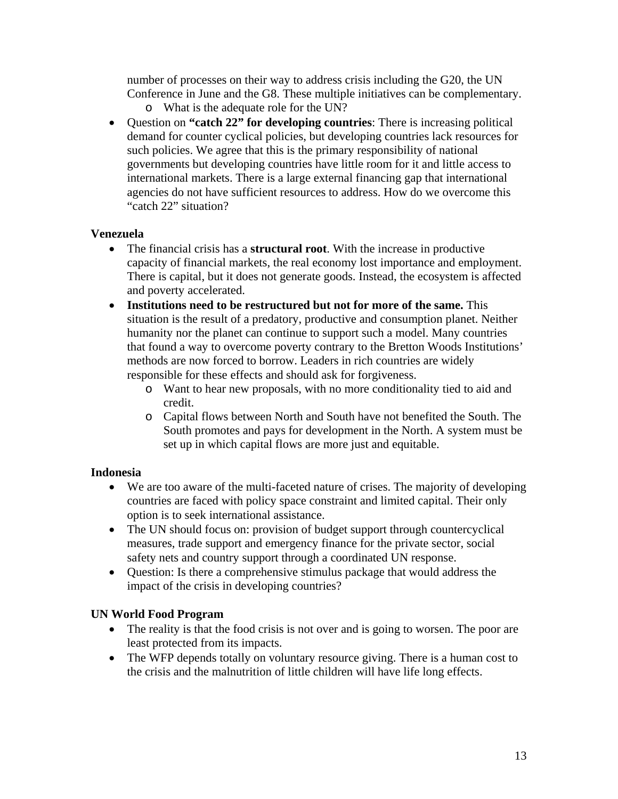number of processes on their way to address crisis including the G20, the UN Conference in June and the G8. These multiple initiatives can be complementary.

- o What is the adequate role for the UN?
- Question on **"catch 22" for developing countries**: There is increasing political demand for counter cyclical policies, but developing countries lack resources for such policies. We agree that this is the primary responsibility of national governments but developing countries have little room for it and little access to international markets. There is a large external financing gap that international agencies do not have sufficient resources to address. How do we overcome this "catch 22" situation?

### **Venezuela**

- The financial crisis has a **structural root**. With the increase in productive capacity of financial markets, the real economy lost importance and employment. There is capital, but it does not generate goods. Instead, the ecosystem is affected and poverty accelerated.
- **Institutions need to be restructured but not for more of the same.** This situation is the result of a predatory, productive and consumption planet. Neither humanity nor the planet can continue to support such a model. Many countries that found a way to overcome poverty contrary to the Bretton Woods Institutions' methods are now forced to borrow. Leaders in rich countries are widely responsible for these effects and should ask for forgiveness.
	- o Want to hear new proposals, with no more conditionality tied to aid and credit.
	- o Capital flows between North and South have not benefited the South. The South promotes and pays for development in the North. A system must be set up in which capital flows are more just and equitable.

### **Indonesia**

- We are too aware of the multi-faceted nature of crises. The majority of developing countries are faced with policy space constraint and limited capital. Their only option is to seek international assistance.
- The UN should focus on: provision of budget support through countercyclical measures, trade support and emergency finance for the private sector, social safety nets and country support through a coordinated UN response.
- Ouestion: Is there a comprehensive stimulus package that would address the impact of the crisis in developing countries?

### **UN World Food Program**

- The reality is that the food crisis is not over and is going to worsen. The poor are least protected from its impacts.
- The WFP depends totally on voluntary resource giving. There is a human cost to the crisis and the malnutrition of little children will have life long effects.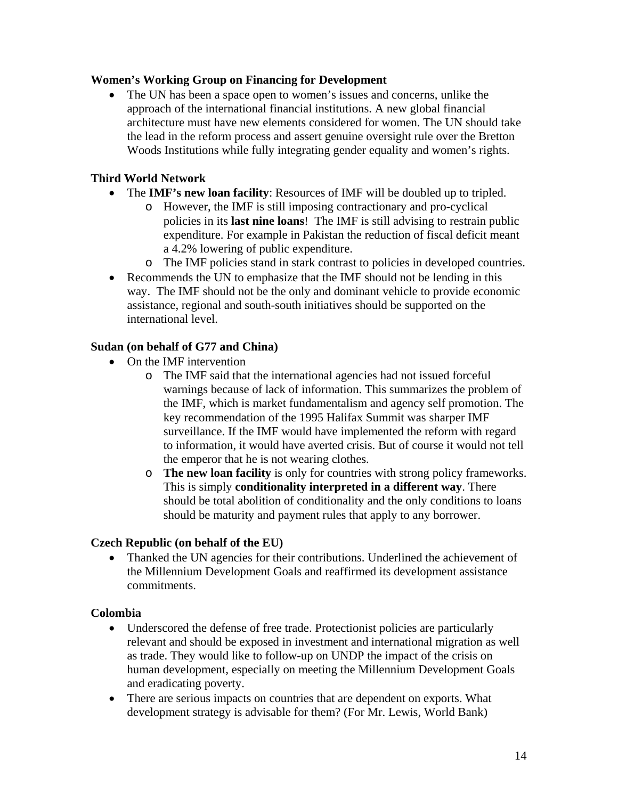### **Women's Working Group on Financing for Development**

The UN has been a space open to women's issues and concerns, unlike the approach of the international financial institutions. A new global financial architecture must have new elements considered for women. The UN should take the lead in the reform process and assert genuine oversight rule over the Bretton Woods Institutions while fully integrating gender equality and women's rights.

### **Third World Network**

- The **IMF's new loan facility**: Resources of IMF will be doubled up to tripled.
	- o However, the IMF is still imposing contractionary and pro-cyclical policies in its **last nine loans**! The IMF is still advising to restrain public expenditure. For example in Pakistan the reduction of fiscal deficit meant a 4.2% lowering of public expenditure.
	- o The IMF policies stand in stark contrast to policies in developed countries.
- Recommends the UN to emphasize that the IMF should not be lending in this way. The IMF should not be the only and dominant vehicle to provide economic assistance, regional and south-south initiatives should be supported on the international level.

### **Sudan (on behalf of G77 and China)**

- On the IMF intervention
	- o The IMF said that the international agencies had not issued forceful warnings because of lack of information. This summarizes the problem of the IMF, which is market fundamentalism and agency self promotion. The key recommendation of the 1995 Halifax Summit was sharper IMF surveillance. If the IMF would have implemented the reform with regard to information, it would have averted crisis. But of course it would not tell the emperor that he is not wearing clothes.
	- o **The new loan facility** is only for countries with strong policy frameworks. This is simply **conditionality interpreted in a different way**. There should be total abolition of conditionality and the only conditions to loans should be maturity and payment rules that apply to any borrower.

### **Czech Republic (on behalf of the EU)**

• Thanked the UN agencies for their contributions. Underlined the achievement of the Millennium Development Goals and reaffirmed its development assistance commitments.

### **Colombia**

- Underscored the defense of free trade. Protectionist policies are particularly relevant and should be exposed in investment and international migration as well as trade. They would like to follow-up on UNDP the impact of the crisis on human development, especially on meeting the Millennium Development Goals and eradicating poverty.
- There are serious impacts on countries that are dependent on exports. What development strategy is advisable for them? (For Mr. Lewis, World Bank)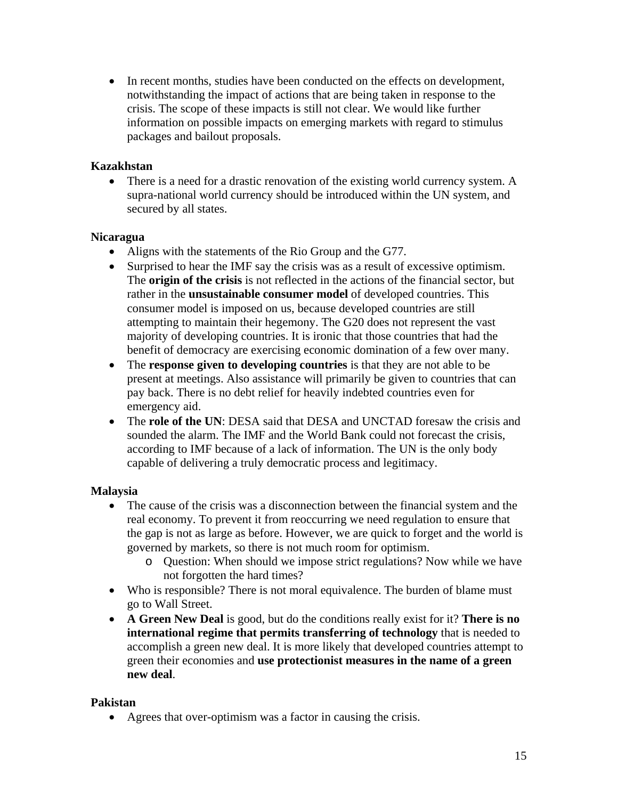• In recent months, studies have been conducted on the effects on development, notwithstanding the impact of actions that are being taken in response to the crisis. The scope of these impacts is still not clear. We would like further information on possible impacts on emerging markets with regard to stimulus packages and bailout proposals.

### **Kazakhstan**

There is a need for a drastic renovation of the existing world currency system. A supra-national world currency should be introduced within the UN system, and secured by all states.

### **Nicaragua**

- Aligns with the statements of the Rio Group and the G77.
- Surprised to hear the IMF say the crisis was as a result of excessive optimism. The **origin of the crisis** is not reflected in the actions of the financial sector, but rather in the **unsustainable consumer model** of developed countries. This consumer model is imposed on us, because developed countries are still attempting to maintain their hegemony. The G20 does not represent the vast majority of developing countries. It is ironic that those countries that had the benefit of democracy are exercising economic domination of a few over many.
- The **response given to developing countries** is that they are not able to be present at meetings. Also assistance will primarily be given to countries that can pay back. There is no debt relief for heavily indebted countries even for emergency aid.
- The **role of the UN**: DESA said that DESA and UNCTAD foresaw the crisis and sounded the alarm. The IMF and the World Bank could not forecast the crisis, according to IMF because of a lack of information. The UN is the only body capable of delivering a truly democratic process and legitimacy.

### **Malaysia**

- The cause of the crisis was a disconnection between the financial system and the real economy. To prevent it from reoccurring we need regulation to ensure that the gap is not as large as before. However, we are quick to forget and the world is governed by markets, so there is not much room for optimism.
	- o Question: When should we impose strict regulations? Now while we have not forgotten the hard times?
- Who is responsible? There is not moral equivalence. The burden of blame must go to Wall Street.
- **A Green New Deal** is good, but do the conditions really exist for it? **There is no international regime that permits transferring of technology** that is needed to accomplish a green new deal. It is more likely that developed countries attempt to green their economies and **use protectionist measures in the name of a green new deal**.

### **Pakistan**

• Agrees that over-optimism was a factor in causing the crisis.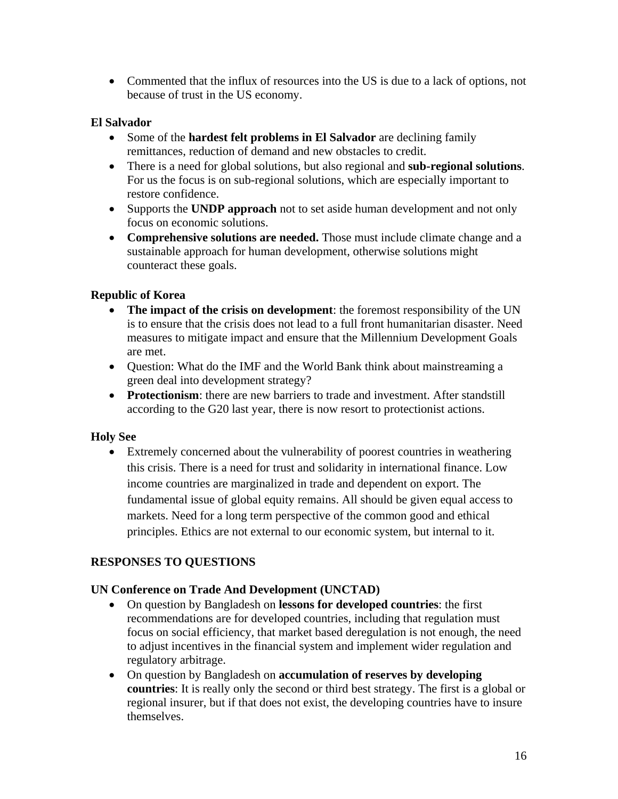• Commented that the influx of resources into the US is due to a lack of options, not because of trust in the US economy.

### **El Salvador**

- Some of the **hardest felt problems in El Salvador** are declining family remittances, reduction of demand and new obstacles to credit.
- There is a need for global solutions, but also regional and **sub-regional solutions**. For us the focus is on sub-regional solutions, which are especially important to restore confidence.
- Supports the **UNDP approach** not to set aside human development and not only focus on economic solutions.
- **Comprehensive solutions are needed.** Those must include climate change and a sustainable approach for human development, otherwise solutions might counteract these goals.

# **Republic of Korea**

- **The impact of the crisis on development**: the foremost responsibility of the UN is to ensure that the crisis does not lead to a full front humanitarian disaster. Need measures to mitigate impact and ensure that the Millennium Development Goals are met.
- Question: What do the IMF and the World Bank think about mainstreaming a green deal into development strategy?
- **Protectionism**: there are new barriers to trade and investment. After standstill according to the G20 last year, there is now resort to protectionist actions.

### **Holy See**

• Extremely concerned about the vulnerability of poorest countries in weathering this crisis. There is a need for trust and solidarity in international finance. Low income countries are marginalized in trade and dependent on export. The fundamental issue of global equity remains. All should be given equal access to markets. Need for a long term perspective of the common good and ethical principles. Ethics are not external to our economic system, but internal to it.

# **RESPONSES TO QUESTIONS**

### **UN Conference on Trade And Development (UNCTAD)**

- On question by Bangladesh on **lessons for developed countries**: the first recommendations are for developed countries, including that regulation must focus on social efficiency, that market based deregulation is not enough, the need to adjust incentives in the financial system and implement wider regulation and regulatory arbitrage.
- On question by Bangladesh on **accumulation of reserves by developing countries**: It is really only the second or third best strategy. The first is a global or regional insurer, but if that does not exist, the developing countries have to insure themselves.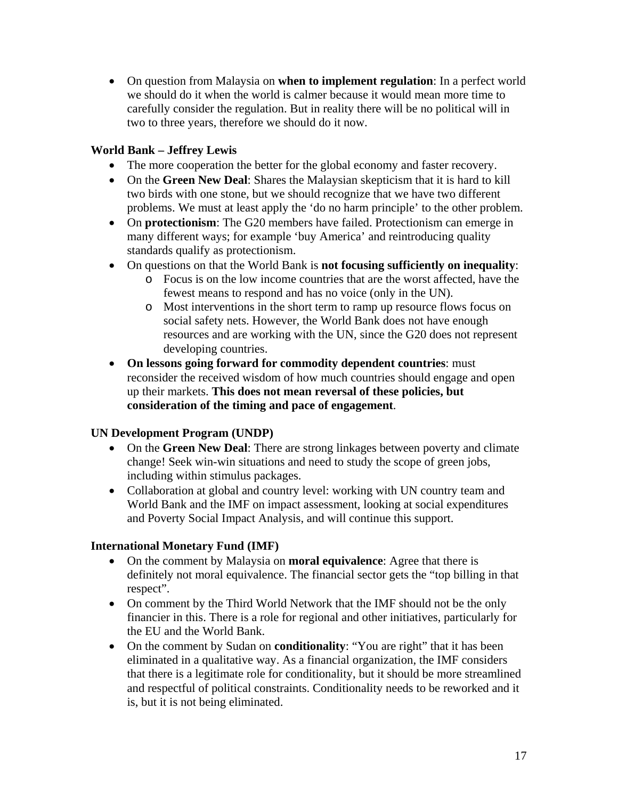• On question from Malaysia on **when to implement regulation**: In a perfect world we should do it when the world is calmer because it would mean more time to carefully consider the regulation. But in reality there will be no political will in two to three years, therefore we should do it now.

### **World Bank – Jeffrey Lewis**

- The more cooperation the better for the global economy and faster recovery.
- On the **Green New Deal**: Shares the Malaysian skepticism that it is hard to kill two birds with one stone, but we should recognize that we have two different problems. We must at least apply the 'do no harm principle' to the other problem.
- On **protectionism**: The G20 members have failed. Protectionism can emerge in many different ways; for example 'buy America' and reintroducing quality standards qualify as protectionism.
- On questions on that the World Bank is **not focusing sufficiently on inequality**:
	- o Focus is on the low income countries that are the worst affected, have the fewest means to respond and has no voice (only in the UN).
	- o Most interventions in the short term to ramp up resource flows focus on social safety nets. However, the World Bank does not have enough resources and are working with the UN, since the G20 does not represent developing countries.
- **On lessons going forward for commodity dependent countries**: must reconsider the received wisdom of how much countries should engage and open up their markets. **This does not mean reversal of these policies, but consideration of the timing and pace of engagement**.

### **UN Development Program (UNDP)**

- On the **Green New Deal**: There are strong linkages between poverty and climate change! Seek win-win situations and need to study the scope of green jobs, including within stimulus packages.
- Collaboration at global and country level: working with UN country team and World Bank and the IMF on impact assessment, looking at social expenditures and Poverty Social Impact Analysis, and will continue this support.

### **International Monetary Fund (IMF)**

- On the comment by Malaysia on **moral equivalence**: Agree that there is definitely not moral equivalence. The financial sector gets the "top billing in that respect".
- On comment by the Third World Network that the IMF should not be the only financier in this. There is a role for regional and other initiatives, particularly for the EU and the World Bank.
- On the comment by Sudan on **conditionality**: "You are right" that it has been eliminated in a qualitative way. As a financial organization, the IMF considers that there is a legitimate role for conditionality, but it should be more streamlined and respectful of political constraints. Conditionality needs to be reworked and it is, but it is not being eliminated.